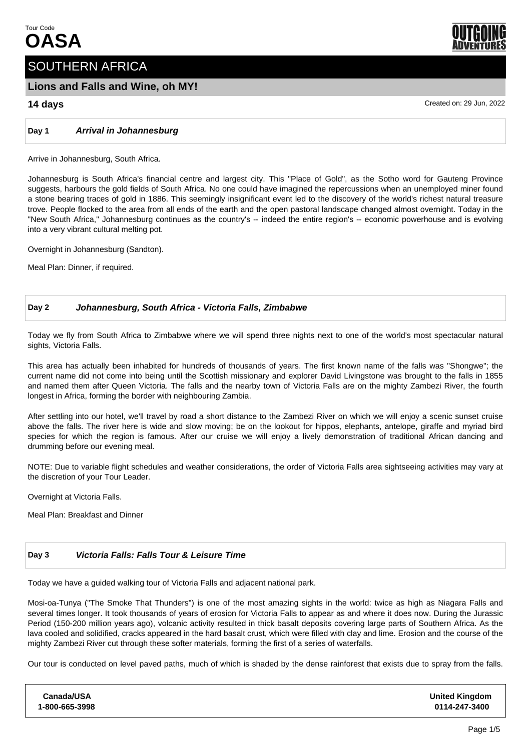

# **Lions and Falls and Wine, oh MY!**

**Day 1 Arrival in Johannesburg**

Arrive in Johannesburg, South Africa.

Johannesburg is South Africa's financial centre and largest city. This "Place of Gold", as the Sotho word for Gauteng Province suggests, harbours the gold fields of South Africa. No one could have imagined the repercussions when an unemployed miner found a stone bearing traces of gold in 1886. This seemingly insignificant event led to the discovery of the world's richest natural treasure trove. People flocked to the area from all ends of the earth and the open pastoral landscape changed almost overnight. Today in the "New South Africa," Johannesburg continues as the country's -- indeed the entire region's -- economic powerhouse and is evolving into a very vibrant cultural melting pot.

Overnight in Johannesburg (Sandton).

Meal Plan: Dinner, if required.

# **Day 2 Johannesburg, South Africa - Victoria Falls, Zimbabwe**

Today we fly from South Africa to Zimbabwe where we will spend three nights next to one of the world's most spectacular natural sights, Victoria Falls.

This area has actually been inhabited for hundreds of thousands of years. The first known name of the falls was "Shongwe"; the current name did not come into being until the Scottish missionary and explorer David Livingstone was brought to the falls in 1855 and named them after Queen Victoria. The falls and the nearby town of Victoria Falls are on the mighty Zambezi River, the fourth longest in Africa, forming the border with neighbouring Zambia.

After settling into our hotel, we'll travel by road a short distance to the Zambezi River on which we will enjoy a scenic sunset cruise above the falls. The river here is wide and slow moving; be on the lookout for hippos, elephants, antelope, giraffe and myriad bird species for which the region is famous. After our cruise we will enjoy a lively demonstration of traditional African dancing and drumming before our evening meal.

NOTE: Due to variable flight schedules and weather considerations, the order of Victoria Falls area sightseeing activities may vary at the discretion of your Tour Leader.

Overnight at Victoria Falls.

Meal Plan: Breakfast and Dinner

# **Day 3 Victoria Falls: Falls Tour & Leisure Time**

Today we have a guided walking tour of Victoria Falls and adjacent national park.

Mosi-oa-Tunya ("The Smoke That Thunders") is one of the most amazing sights in the world: twice as high as Niagara Falls and several times longer. It took thousands of years of erosion for Victoria Falls to appear as and where it does now. During the Jurassic Period (150-200 million years ago), volcanic activity resulted in thick basalt deposits covering large parts of Southern Africa. As the lava cooled and solidified, cracks appeared in the hard basalt crust, which were filled with clay and lime. Erosion and the course of the mighty Zambezi River cut through these softer materials, forming the first of a series of waterfalls.

Our tour is conducted on level paved paths, much of which is shaded by the dense rainforest that exists due to spray from the falls.

| Canada/USA     | <b>United Kingdom</b> |
|----------------|-----------------------|
| 1-800-665-3998 | 0114-247-3400         |



**14 days** Created on: 29 Jun, 2022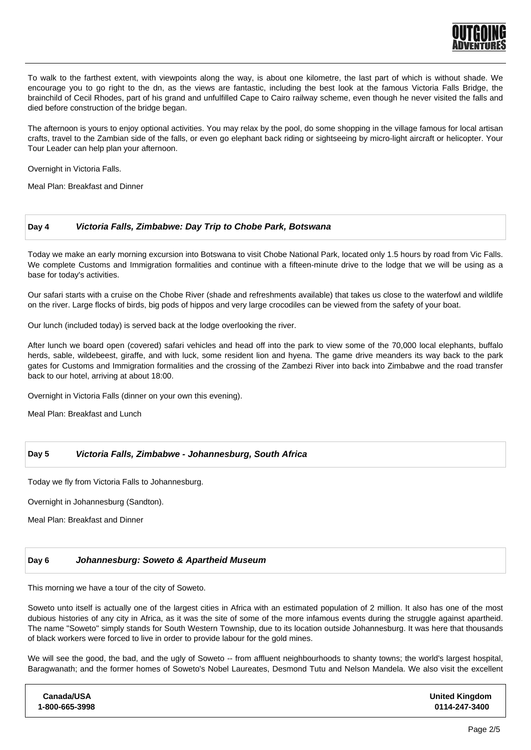

To walk to the farthest extent, with viewpoints along the way, is about one kilometre, the last part of which is without shade. We encourage you to go right to the dn, as the views are fantastic, including the best look at the famous Victoria Falls Bridge, the brainchild of Cecil Rhodes, part of his grand and unfulfilled Cape to Cairo railway scheme, even though he never visited the falls and died before construction of the bridge began.

The afternoon is yours to enjoy optional activities. You may relax by the pool, do some shopping in the village famous for local artisan crafts, travel to the Zambian side of the falls, or even go elephant back riding or sightseeing by micro-light aircraft or helicopter. Your Tour Leader can help plan your afternoon.

Overnight in Victoria Falls.

Meal Plan: Breakfast and Dinner

# **Day 4 Victoria Falls, Zimbabwe: Day Trip to Chobe Park, Botswana**

Today we make an early morning excursion into Botswana to visit Chobe National Park, located only 1.5 hours by road from Vic Falls. We complete Customs and Immigration formalities and continue with a fifteen-minute drive to the lodge that we will be using as a base for today's activities.

Our safari starts with a cruise on the Chobe River (shade and refreshments available) that takes us close to the waterfowl and wildlife on the river. Large flocks of birds, big pods of hippos and very large crocodiles can be viewed from the safety of your boat.

Our lunch (included today) is served back at the lodge overlooking the river.

After lunch we board open (covered) safari vehicles and head off into the park to view some of the 70,000 local elephants, buffalo herds, sable, wildebeest, giraffe, and with luck, some resident lion and hyena. The game drive meanders its way back to the park gates for Customs and Immigration formalities and the crossing of the Zambezi River into back into Zimbabwe and the road transfer back to our hotel, arriving at about 18:00.

Overnight in Victoria Falls (dinner on your own this evening).

Meal Plan: Breakfast and Lunch

# **Day 5 Victoria Falls, Zimbabwe - Johannesburg, South Africa**

Today we fly from Victoria Falls to Johannesburg.

Overnight in Johannesburg (Sandton).

Meal Plan: Breakfast and Dinner

# **Day 6 Johannesburg: Soweto & Apartheid Museum**

This morning we have a tour of the city of Soweto.

Soweto unto itself is actually one of the largest cities in Africa with an estimated population of 2 million. It also has one of the most dubious histories of any city in Africa, as it was the site of some of the more infamous events during the struggle against apartheid. The name "Soweto" simply stands for South Western Township, due to its location outside Johannesburg. It was here that thousands of black workers were forced to live in order to provide labour for the gold mines.

We will see the good, the bad, and the ugly of Soweto -- from affluent neighbourhoods to shanty towns; the world's largest hospital, Baragwanath; and the former homes of Soweto's Nobel Laureates, Desmond Tutu and Nelson Mandela. We also visit the excellent

| Canada/USA     | <b>United Kingdom</b> |
|----------------|-----------------------|
| 1-800-665-3998 | 0114-247-3400         |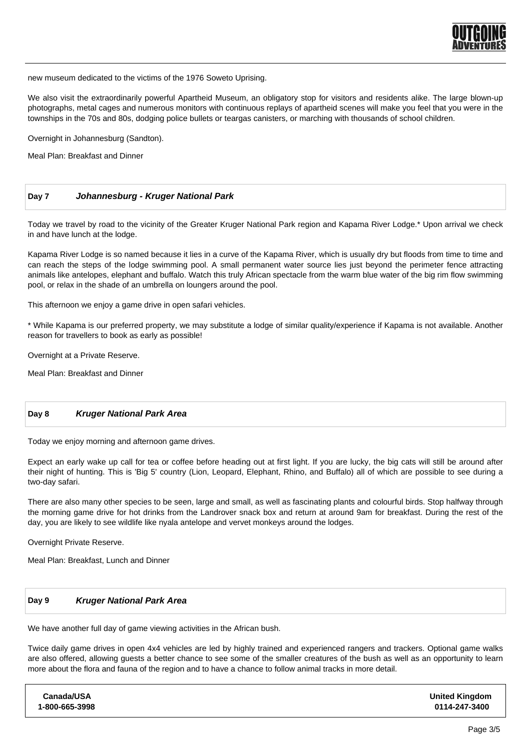

new museum dedicated to the victims of the 1976 Soweto Uprising.

We also visit the extraordinarily powerful Apartheid Museum, an obligatory stop for visitors and residents alike. The large blown-up photographs, metal cages and numerous monitors with continuous replays of apartheid scenes will make you feel that you were in the townships in the 70s and 80s, dodging police bullets or teargas canisters, or marching with thousands of school children.

Overnight in Johannesburg (Sandton).

Meal Plan: Breakfast and Dinner

# **Day 7 Johannesburg - Kruger National Park**

Today we travel by road to the vicinity of the Greater Kruger National Park region and Kapama River Lodge.\* Upon arrival we check in and have lunch at the lodge.

Kapama River Lodge is so named because it lies in a curve of the Kapama River, which is usually dry but floods from time to time and can reach the steps of the lodge swimming pool. A small permanent water source lies just beyond the perimeter fence attracting animals like antelopes, elephant and buffalo. Watch this truly African spectacle from the warm blue water of the big rim flow swimming pool, or relax in the shade of an umbrella on loungers around the pool.

This afternoon we enjoy a game drive in open safari vehicles.

\* While Kapama is our preferred property, we may substitute a lodge of similar quality/experience if Kapama is not available. Another reason for travellers to book as early as possible!

Overnight at a Private Reserve.

Meal Plan: Breakfast and Dinner

#### **Day 8 Kruger National Park Area**

Today we enjoy morning and afternoon game drives.

Expect an early wake up call for tea or coffee before heading out at first light. If you are lucky, the big cats will still be around after their night of hunting. This is 'Big 5' country (Lion, Leopard, Elephant, Rhino, and Buffalo) all of which are possible to see during a two-day safari.

There are also many other species to be seen, large and small, as well as fascinating plants and colourful birds. Stop halfway through the morning game drive for hot drinks from the Landrover snack box and return at around 9am for breakfast. During the rest of the day, you are likely to see wildlife like nyala antelope and vervet monkeys around the lodges.

Overnight Private Reserve.

Meal Plan: Breakfast, Lunch and Dinner

### **Day 9 Kruger National Park Area**

We have another full day of game viewing activities in the African bush.

Twice daily game drives in open 4x4 vehicles are led by highly trained and experienced rangers and trackers. Optional game walks are also offered, allowing guests a better chance to see some of the smaller creatures of the bush as well as an opportunity to learn more about the flora and fauna of the region and to have a chance to follow animal tracks in more detail.

**Canada/USA 1-800-665-3998 United Kingdom 0114-247-3400**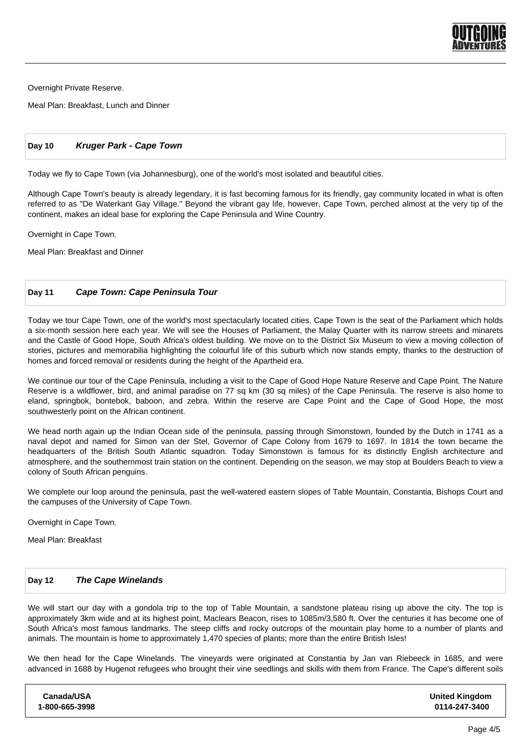

Overnight Private Reserve.

Meal Plan: Breakfast, Lunch and Dinner

# **Day 10 Kruger Park - Cape Town**

Today we fly to Cape Town (via Johannesburg), one of the world's most isolated and beautiful cities.

Although Cape Town's beauty is already legendary, it is fast becoming famous for its friendly, gay community located in what is often referred to as "De Waterkant Gay Village." Beyond the vibrant gay life, however, Cape Town, perched almost at the very tip of the continent, makes an ideal base for exploring the Cape Peninsula and Wine Country.

Overnight in Cape Town.

Meal Plan: Breakfast and Dinner

# **Day 11 Cape Town: Cape Peninsula Tour**

Today we tour Cape Town, one of the world's most spectacularly located cities. Cape Town is the seat of the Parliament which holds a six-month session here each year. We will see the Houses of Parliament, the Malay Quarter with its narrow streets and minarets and the Castle of Good Hope, South Africa's oldest building. We move on to the District Six Museum to view a moving collection of stories, pictures and memorabilia highlighting the colourful life of this suburb which now stands empty, thanks to the destruction of homes and forced removal or residents during the height of the Apartheid era.

We continue our tour of the Cape Peninsula, including a visit to the Cape of Good Hope Nature Reserve and Cape Point. The Nature Reserve is a wildflower, bird, and animal paradise on 77 sq km (30 sq miles) of the Cape Peninsula. The reserve is also home to eland, springbok, bontebok, baboon, and zebra. Within the reserve are Cape Point and the Cape of Good Hope, the most southwesterly point on the African continent.

We head north again up the Indian Ocean side of the peninsula, passing through Simonstown, founded by the Dutch in 1741 as a naval depot and named for Simon van der Stel, Governor of Cape Colony from 1679 to 1697. In 1814 the town became the headquarters of the British South Atlantic squadron. Today Simonstown is famous for its distinctly English architecture and atmosphere, and the southernmost train station on the continent. Depending on the season, we may stop at Boulders Beach to view a colony of South African penguins.

We complete our loop around the peninsula, past the well-watered eastern slopes of Table Mountain, Constantia, Bishops Court and the campuses of the University of Cape Town.

Overnight in Cape Town.

Meal Plan: Breakfast

#### **Day 12 The Cape Winelands**

We will start our day with a gondola trip to the top of Table Mountain, a sandstone plateau rising up above the city. The top is approximately 3km wide and at its highest point, Maclears Beacon, rises to 1085m/3,580 ft. Over the centuries it has become one of South Africa's most famous landmarks. The steep cliffs and rocky outcrops of the mountain play home to a number of plants and animals. The mountain is home to approximately 1,470 species of plants; more than the entire British Isles!

We then head for the Cape Winelands. The vineyards were originated at Constantia by Jan van Riebeeck in 1685, and were advanced in 1688 by Hugenot refugees who brought their vine seedlings and skills with them from France. The Cape's different soils

| Canada/USA     | <b>United Kingdom</b> |
|----------------|-----------------------|
| 1-800-665-3998 | 0114-247-3400         |